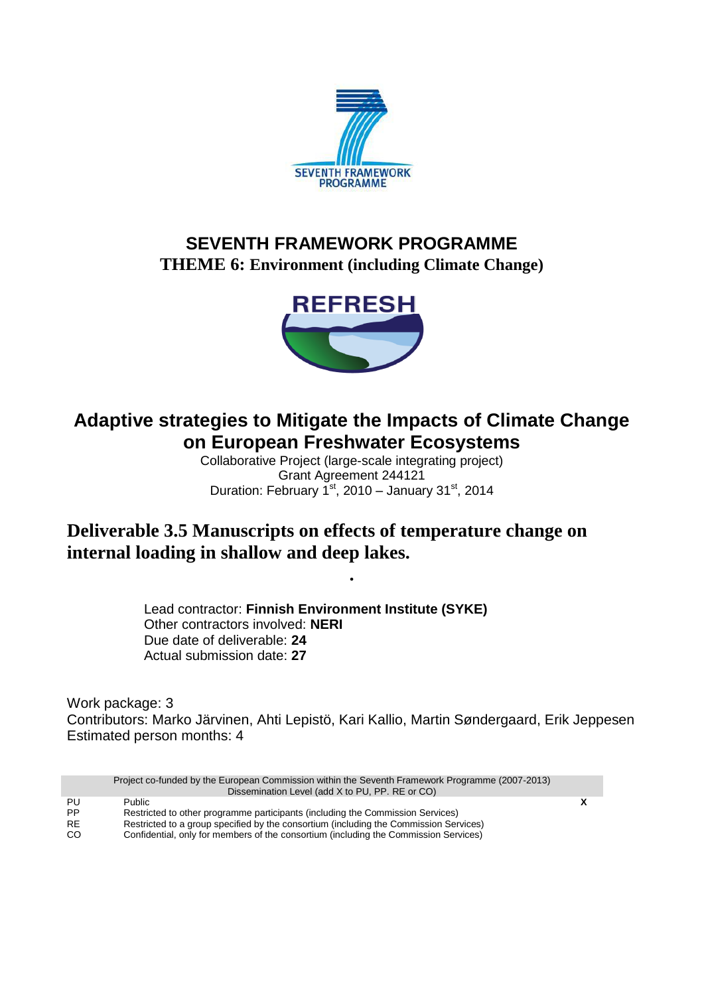

# **SEVENTH FRAMEWORK PROGRAMME THEME 6: Environment (including Climate Change)**



# **Adaptive strategies to Mitigate the Impacts of Climate Change on European Freshwater Ecosystems**

Collaborative Project (large-scale integrating project) Grant Agreement 244121 Duration: February  $1^{st}$ , 2010 – January 31 $st$ , 2014

**.**

# **Deliverable 3.5 Manuscripts on effects of temperature change on internal loading in shallow and deep lakes.**

Lead contractor: **Finnish Environment Institute (SYKE)** Other contractors involved: **NERI** Due date of deliverable: **24** Actual submission date: **27**

Work package: 3 Contributors: Marko Järvinen, Ahti Lepistö, Kari Kallio, Martin Søndergaard, Erik Jeppesen Estimated person months: 4

|               | Project co-funded by the European Commission within the Seventh Framework Programme (2007-2013) |  |
|---------------|-------------------------------------------------------------------------------------------------|--|
|               | Dissemination Level (add X to PU, PP. RE or CO)                                                 |  |
| PU            | <b>Public</b>                                                                                   |  |
| <b>PP</b>     | Restricted to other programme participants (including the Commission Services)                  |  |
| <b>RE</b>     | Restricted to a group specified by the consortium (including the Commission Services)           |  |
| <sub>CO</sub> | Confidential, only for members of the consortium (including the Commission Services)            |  |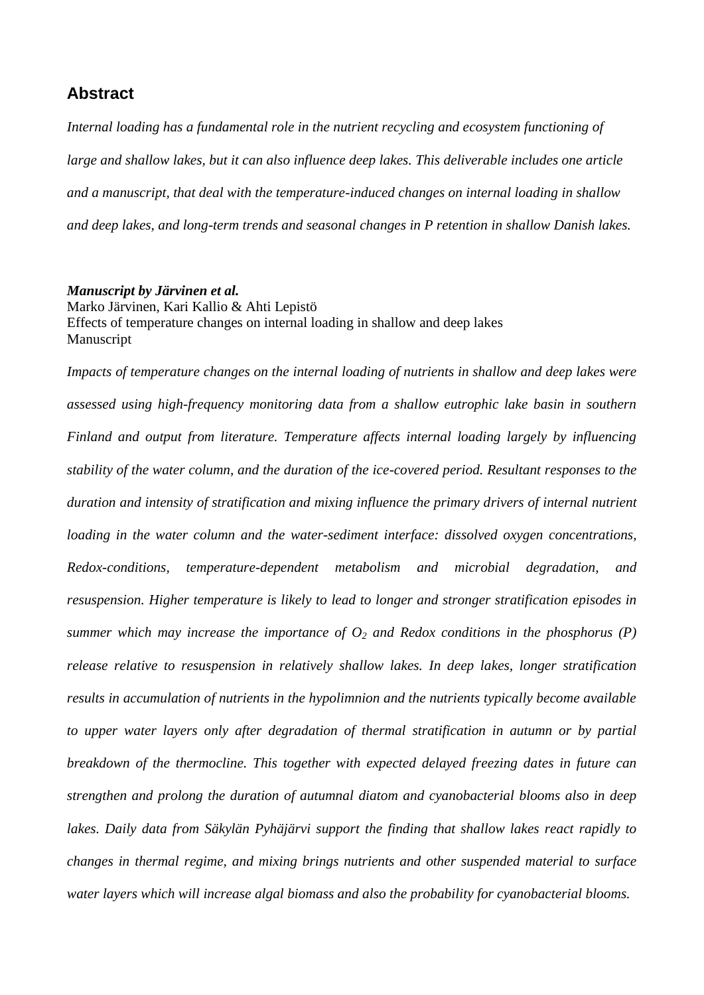# **Abstract**

*Internal loading has a fundamental role in the nutrient recycling and ecosystem functioning of large and shallow lakes, but it can also influence deep lakes. This deliverable includes one article and a manuscript, that deal with the temperature-induced changes on internal loading in shallow and deep lakes, and long-term trends and seasonal changes in P retention in shallow Danish lakes.*

#### *Manuscript by Järvinen et al.*

Marko Järvinen, Kari Kallio & Ahti Lepistö Effects of temperature changes on internal loading in shallow and deep lakes Manuscript

*Impacts of temperature changes on the internal loading of nutrients in shallow and deep lakes were assessed using high-frequency monitoring data from a shallow eutrophic lake basin in southern Finland and output from literature. Temperature affects internal loading largely by influencing stability of the water column, and the duration of the ice-covered period. Resultant responses to the duration and intensity of stratification and mixing influence the primary drivers of internal nutrient loading in the water column and the water-sediment interface: dissolved oxygen concentrations, Redox-conditions, temperature-dependent metabolism and microbial degradation, and resuspension. Higher temperature is likely to lead to longer and stronger stratification episodes in summer which may increase the importance of*  $O_2$  *and Redox conditions in the phosphorus (P) release relative to resuspension in relatively shallow lakes. In deep lakes, longer stratification results in accumulation of nutrients in the hypolimnion and the nutrients typically become available to upper water layers only after degradation of thermal stratification in autumn or by partial breakdown of the thermocline. This together with expected delayed freezing dates in future can strengthen and prolong the duration of autumnal diatom and cyanobacterial blooms also in deep lakes. Daily data from Säkylän Pyhäjärvi support the finding that shallow lakes react rapidly to changes in thermal regime, and mixing brings nutrients and other suspended material to surface water layers which will increase algal biomass and also the probability for cyanobacterial blooms.*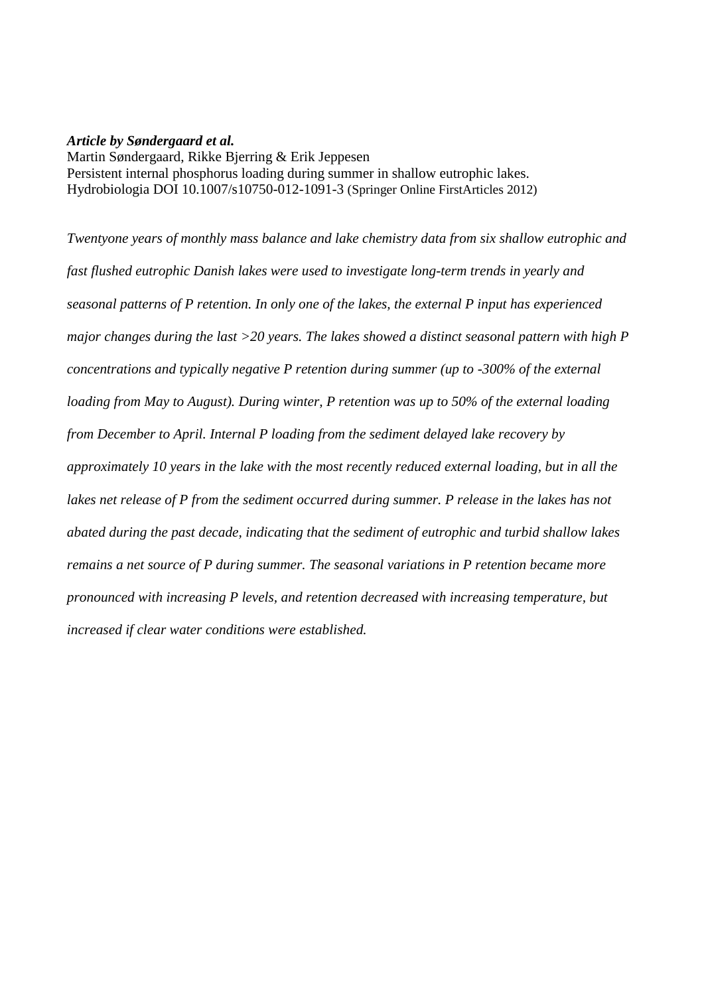#### *Article by Søndergaard et al.*

Martin Søndergaard, Rikke Bjerring & Erik Jeppesen Persistent internal phosphorus loading during summer in shallow eutrophic lakes. Hydrobiologia DOI 10.1007/s10750-012-1091-3 (Springer Online FirstArticles 2012)

*Twentyone years of monthly mass balance and lake chemistry data from six shallow eutrophic and fast flushed eutrophic Danish lakes were used to investigate long-term trends in yearly and seasonal patterns of P retention. In only one of the lakes, the external P input has experienced major changes during the last >20 years. The lakes showed a distinct seasonal pattern with high P concentrations and typically negative P retention during summer (up to -300% of the external loading from May to August). During winter, P retention was up to 50% of the external loading from December to April. Internal P loading from the sediment delayed lake recovery by approximately 10 years in the lake with the most recently reduced external loading, but in all the lakes net release of P from the sediment occurred during summer. P release in the lakes has not abated during the past decade, indicating that the sediment of eutrophic and turbid shallow lakes remains a net source of P during summer. The seasonal variations in P retention became more pronounced with increasing P levels, and retention decreased with increasing temperature, but increased if clear water conditions were established.*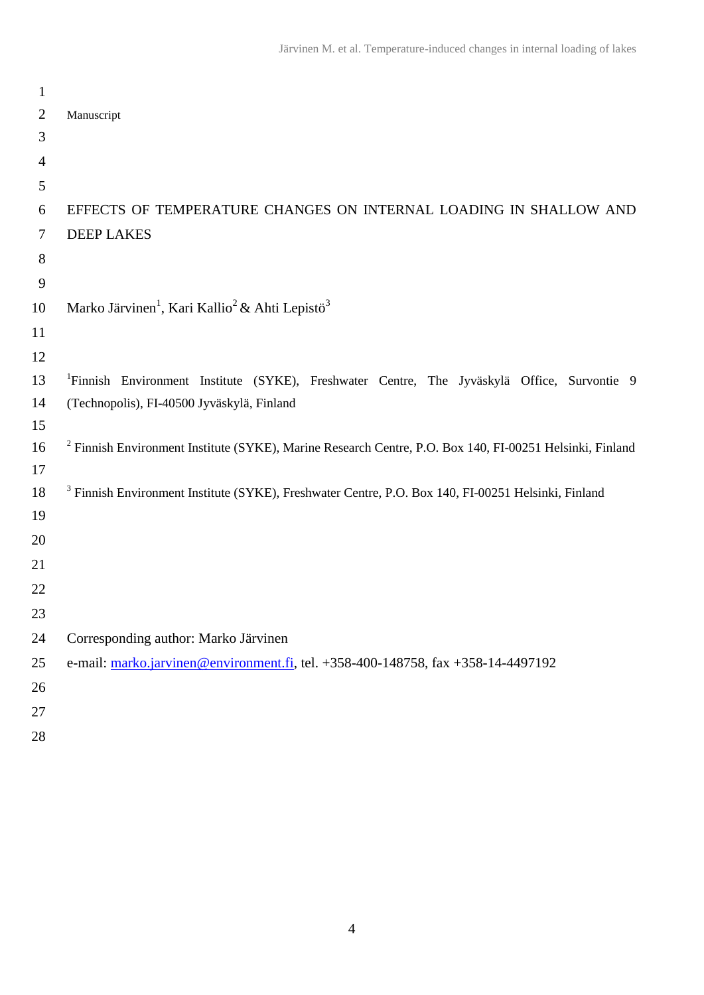| $\mathbf{1}$   |                                                                                                                     |
|----------------|---------------------------------------------------------------------------------------------------------------------|
| 2              | Manuscript                                                                                                          |
| 3              |                                                                                                                     |
| $\overline{4}$ |                                                                                                                     |
| 5              |                                                                                                                     |
| 6              | EFFECTS OF TEMPERATURE CHANGES ON INTERNAL LOADING IN SHALLOW AND                                                   |
| 7              | <b>DEEP LAKES</b>                                                                                                   |
| $8\,$          |                                                                                                                     |
| 9              |                                                                                                                     |
| 10             | Marko Järvinen <sup>1</sup> , Kari Kallio <sup>2</sup> & Ahti Lepistö <sup>3</sup>                                  |
| 11             |                                                                                                                     |
| 12             |                                                                                                                     |
| 13             | <sup>1</sup> Finnish Environment Institute (SYKE), Freshwater Centre, The Jyväskylä Office, Survontie 9             |
| 14             | (Technopolis), FI-40500 Jyväskylä, Finland                                                                          |
| 15             |                                                                                                                     |
| 16             | <sup>2</sup> Finnish Environment Institute (SYKE), Marine Research Centre, P.O. Box 140, FI-00251 Helsinki, Finland |
| 17             |                                                                                                                     |
| 18             | <sup>3</sup> Finnish Environment Institute (SYKE), Freshwater Centre, P.O. Box 140, FI-00251 Helsinki, Finland      |
| 19             |                                                                                                                     |
| 20             |                                                                                                                     |
| 21             |                                                                                                                     |
| 22             |                                                                                                                     |
| 23             |                                                                                                                     |
| 24             | Corresponding author: Marko Järvinen                                                                                |
| 25             | e-mail: marko.jarvinen@environment.fi, tel. +358-400-148758, fax +358-14-4497192                                    |
| 26             |                                                                                                                     |
| 27             |                                                                                                                     |
| 28             |                                                                                                                     |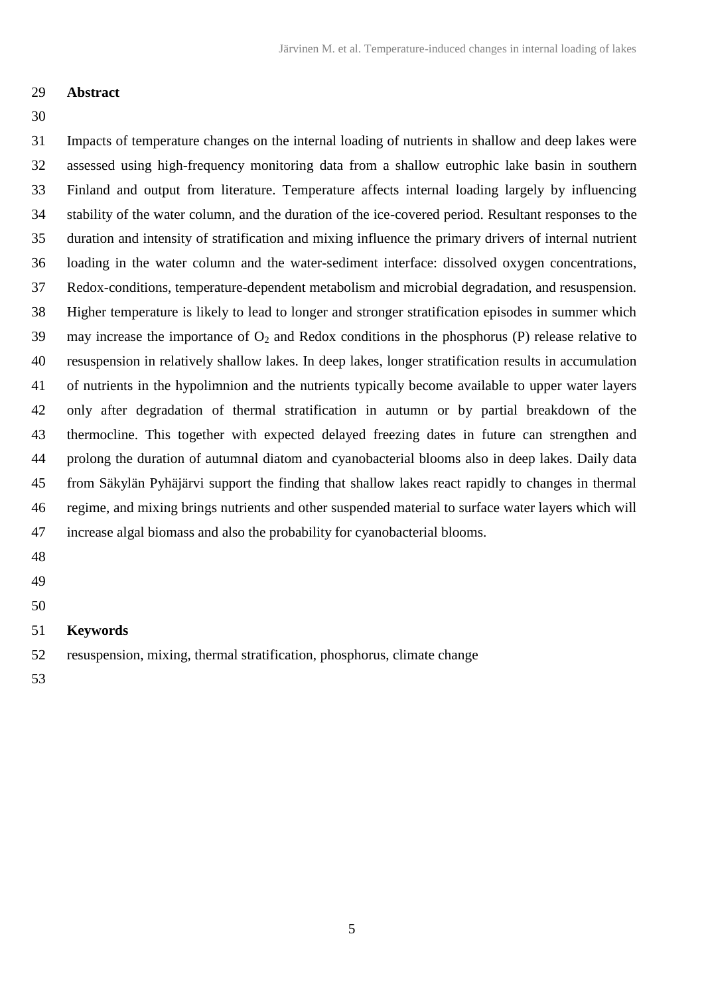## **Abstract**

## 

 Impacts of temperature changes on the internal loading of nutrients in shallow and deep lakes were assessed using high-frequency monitoring data from a shallow eutrophic lake basin in southern Finland and output from literature. Temperature affects internal loading largely by influencing stability of the water column, and the duration of the ice-covered period. Resultant responses to the duration and intensity of stratification and mixing influence the primary drivers of internal nutrient loading in the water column and the water-sediment interface: dissolved oxygen concentrations, Redox-conditions, temperature-dependent metabolism and microbial degradation, and resuspension. Higher temperature is likely to lead to longer and stronger stratification episodes in summer which 39 may increase the importance of  $O_2$  and Redox conditions in the phosphorus (P) release relative to resuspension in relatively shallow lakes. In deep lakes, longer stratification results in accumulation of nutrients in the hypolimnion and the nutrients typically become available to upper water layers only after degradation of thermal stratification in autumn or by partial breakdown of the thermocline. This together with expected delayed freezing dates in future can strengthen and prolong the duration of autumnal diatom and cyanobacterial blooms also in deep lakes. Daily data from Säkylän Pyhäjärvi support the finding that shallow lakes react rapidly to changes in thermal regime, and mixing brings nutrients and other suspended material to surface water layers which will increase algal biomass and also the probability for cyanobacterial blooms.

- 
- 
- 

# **Keywords**

resuspension, mixing, thermal stratification, phosphorus, climate change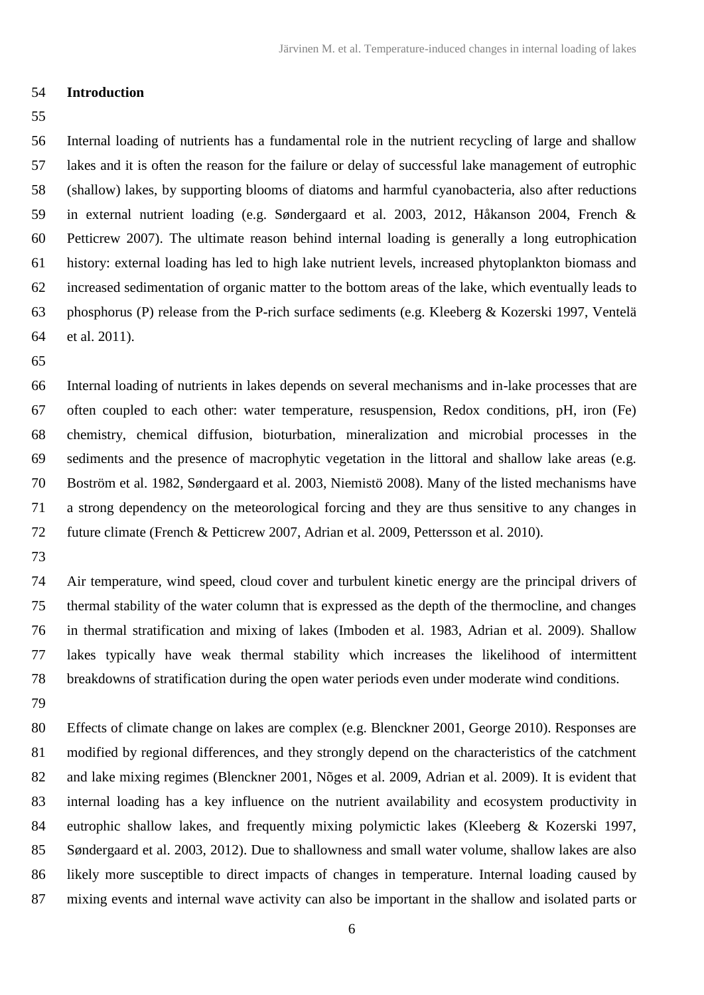### **Introduction**

 Internal loading of nutrients has a fundamental role in the nutrient recycling of large and shallow lakes and it is often the reason for the failure or delay of successful lake management of eutrophic (shallow) lakes, by supporting blooms of diatoms and harmful cyanobacteria, also after reductions in external nutrient loading (e.g. Søndergaard et al. 2003, 2012, Håkanson 2004, French & Petticrew 2007). The ultimate reason behind internal loading is generally a long eutrophication history: external loading has led to high lake nutrient levels, increased phytoplankton biomass and increased sedimentation of organic matter to the bottom areas of the lake, which eventually leads to phosphorus (P) release from the P-rich surface sediments (e.g. Kleeberg & Kozerski 1997, Ventelä et al. 2011).

 Internal loading of nutrients in lakes depends on several mechanisms and in-lake processes that are often coupled to each other: water temperature, resuspension, Redox conditions, pH, iron (Fe) chemistry, chemical diffusion, bioturbation, mineralization and microbial processes in the sediments and the presence of macrophytic vegetation in the littoral and shallow lake areas (e.g. Boström et al. 1982, Søndergaard et al. 2003, Niemistö 2008). Many of the listed mechanisms have a strong dependency on the meteorological forcing and they are thus sensitive to any changes in future climate (French & Petticrew 2007, Adrian et al. 2009, Pettersson et al. 2010).

 Air temperature, wind speed, cloud cover and turbulent kinetic energy are the principal drivers of thermal stability of the water column that is expressed as the depth of the thermocline, and changes in thermal stratification and mixing of lakes (Imboden et al. 1983, Adrian et al. 2009). Shallow lakes typically have weak thermal stability which increases the likelihood of intermittent breakdowns of stratification during the open water periods even under moderate wind conditions.

 Effects of climate change on lakes are complex (e.g. Blenckner 2001, George 2010). Responses are modified by regional differences, and they strongly depend on the characteristics of the catchment and lake mixing regimes (Blenckner 2001, Nõges et al. 2009, Adrian et al. 2009). It is evident that internal loading has a key influence on the nutrient availability and ecosystem productivity in eutrophic shallow lakes, and frequently mixing polymictic lakes (Kleeberg & Kozerski 1997, Søndergaard et al. 2003, 2012). Due to shallowness and small water volume, shallow lakes are also likely more susceptible to direct impacts of changes in temperature. Internal loading caused by mixing events and internal wave activity can also be important in the shallow and isolated parts or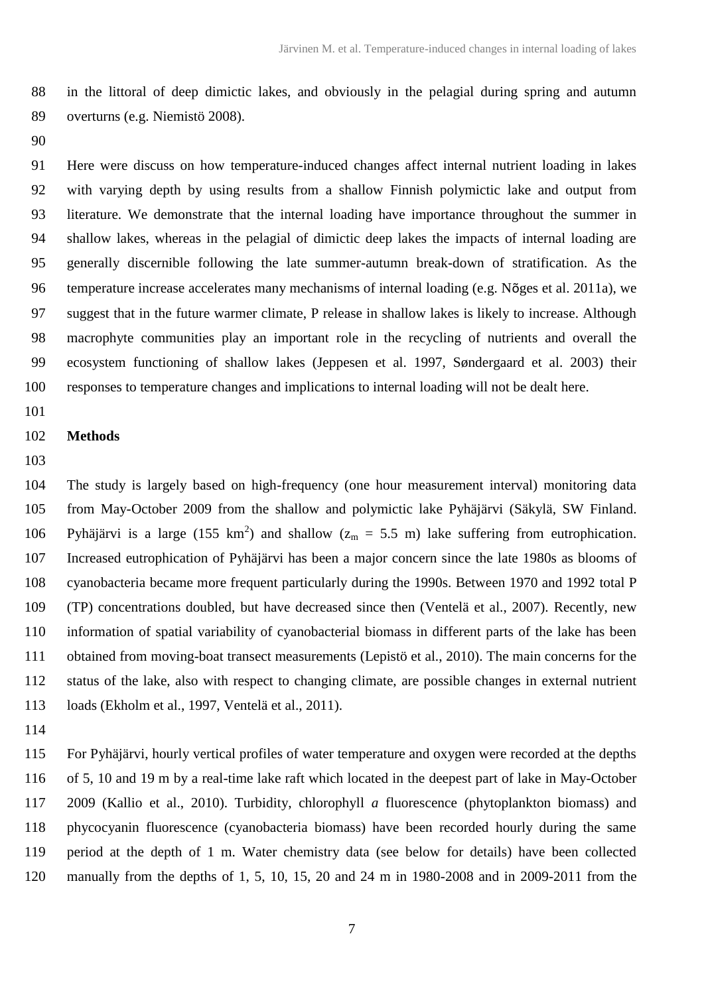in the littoral of deep dimictic lakes, and obviously in the pelagial during spring and autumn overturns (e.g. Niemistö 2008).

 Here were discuss on how temperature-induced changes affect internal nutrient loading in lakes with varying depth by using results from a shallow Finnish polymictic lake and output from literature. We demonstrate that the internal loading have importance throughout the summer in shallow lakes, whereas in the pelagial of dimictic deep lakes the impacts of internal loading are generally discernible following the late summer-autumn break-down of stratification. As the temperature increase accelerates many mechanisms of internal loading (e.g. Nõges et al. 2011a), we suggest that in the future warmer climate, P release in shallow lakes is likely to increase. Although macrophyte communities play an important role in the recycling of nutrients and overall the ecosystem functioning of shallow lakes (Jeppesen et al. 1997, Søndergaard et al. 2003) their responses to temperature changes and implications to internal loading will not be dealt here.

## **Methods**

## 

 The study is largely based on high-frequency (one hour measurement interval) monitoring data from May-October 2009 from the shallow and polymictic lake Pyhäjärvi (Säkylä, SW Finland. 106 Pyhäjärvi is a large (155 km<sup>2</sup>) and shallow ( $z_m = 5.5$  m) lake suffering from eutrophication. Increased eutrophication of Pyhäjärvi has been a major concern since the late 1980s as blooms of cyanobacteria became more frequent particularly during the 1990s. Between 1970 and 1992 total P (TP) concentrations doubled, but have decreased since then (Ventelä et al., 2007). Recently, new information of spatial variability of cyanobacterial biomass in different parts of the lake has been obtained from moving-boat transect measurements (Lepistö et al., 2010). The main concerns for the status of the lake, also with respect to changing climate, are possible changes in external nutrient loads (Ekholm et al., 1997, Ventelä et al., 2011).

 For Pyhäjärvi, hourly vertical profiles of water temperature and oxygen were recorded at the depths of 5, 10 and 19 m by a real-time lake raft which located in the deepest part of lake in May-October 2009 (Kallio et al., 2010). Turbidity, chlorophyll *a* fluorescence (phytoplankton biomass) and phycocyanin fluorescence (cyanobacteria biomass) have been recorded hourly during the same period at the depth of 1 m. Water chemistry data (see below for details) have been collected manually from the depths of 1, 5, 10, 15, 20 and 24 m in 1980-2008 and in 2009-2011 from the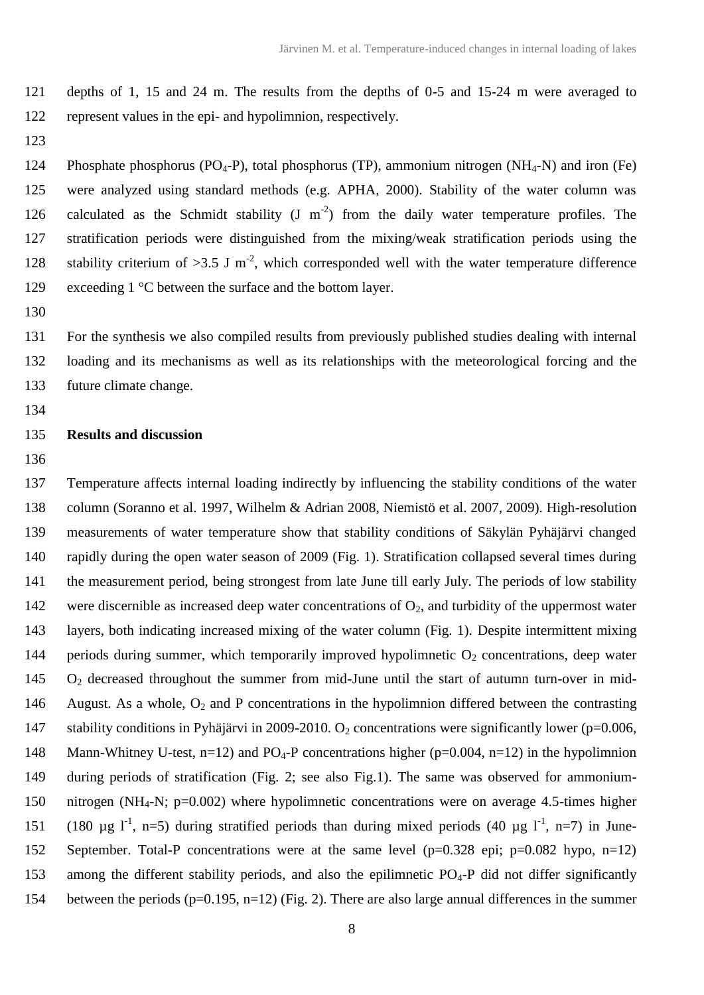depths of 1, 15 and 24 m. The results from the depths of 0-5 and 15-24 m were averaged to represent values in the epi- and hypolimnion, respectively.

124 Phosphate phosphorus (PO<sub>4</sub>-P), total phosphorus (TP), ammonium nitrogen (NH<sub>4</sub>-N) and iron (Fe) were analyzed using standard methods (e.g. APHA, 2000). Stability of the water column was 126 calculated as the Schmidt stability  $(J \ m^{-2})$  from the daily water temperature profiles. The stratification periods were distinguished from the mixing/weak stratification periods using the 128 stability criterium of  $>3.5$  J m<sup>-2</sup>, which corresponded well with the water temperature difference 129 exceeding 1 °C between the surface and the bottom layer.

 For the synthesis we also compiled results from previously published studies dealing with internal loading and its mechanisms as well as its relationships with the meteorological forcing and the future climate change.

## **Results and discussion**

 Temperature affects internal loading indirectly by influencing the stability conditions of the water column (Soranno et al. 1997, Wilhelm & Adrian 2008, Niemistö et al. 2007, 2009). High-resolution measurements of water temperature show that stability conditions of Säkylän Pyhäjärvi changed rapidly during the open water season of 2009 (Fig. 1). Stratification collapsed several times during the measurement period, being strongest from late June till early July. The periods of low stability 142 were discernible as increased deep water concentrations of  $O<sub>2</sub>$ , and turbidity of the uppermost water layers, both indicating increased mixing of the water column (Fig. 1). Despite intermittent mixing 144 periods during summer, which temporarily improved hypolimnetic  $O_2$  concentrations, deep water O<sub>2</sub> decreased throughout the summer from mid-June until the start of autumn turn-over in mid-146 August. As a whole,  $O_2$  and P concentrations in the hypolimnion differed between the contrasting 147 stability conditions in Pyhäjärvi in 2009-2010. O<sub>2</sub> concentrations were significantly lower (p=0.006, 148 Mann-Whitney U-test, n=12) and  $PO_4$ -P concentrations higher (p=0.004, n=12) in the hypolimnion during periods of stratification (Fig. 2; see also Fig.1). The same was observed for ammonium- nitrogen (NH4-N; p=0.002) where hypolimnetic concentrations were on average 4.5-times higher 151 (180 µg  $I^{-1}$ , n=5) during stratified periods than during mixed periods (40 µg  $I^{-1}$ , n=7) in June- September. Total-P concentrations were at the same level (p=0.328 epi; p=0.082 hypo, n=12) 153 among the different stability periods, and also the epilimnetic  $PQ_4-P$  did not differ significantly 154 between the periods (p=0.195, n=12) (Fig. 2). There are also large annual differences in the summer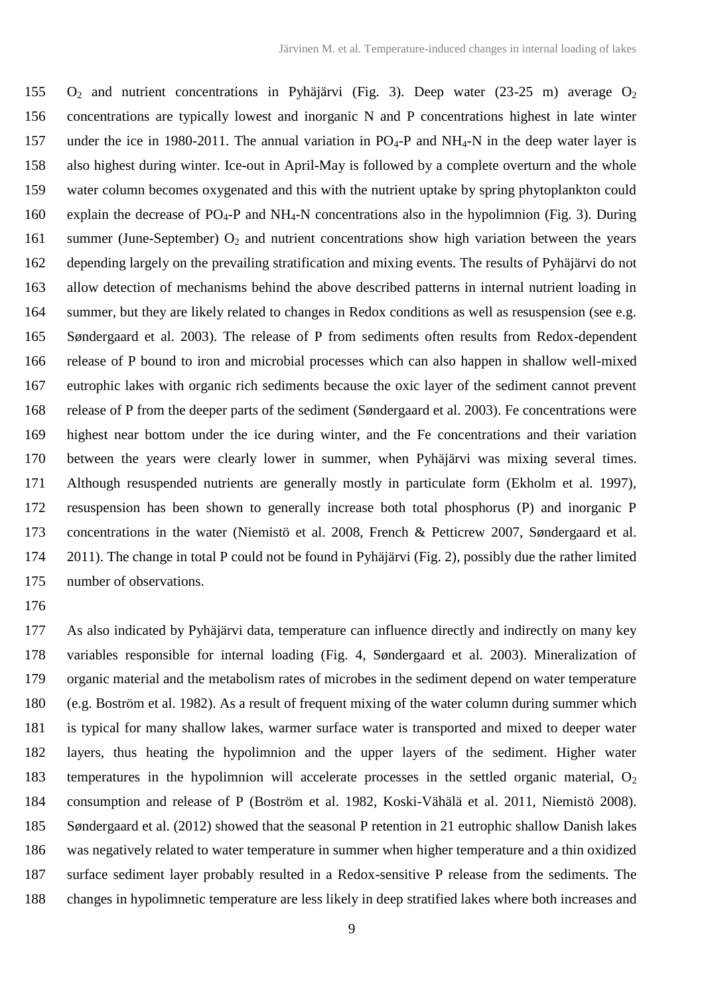$O_2$  and nutrient concentrations in Pyhäjärvi (Fig. 3). Deep water (23-25 m) average  $O_2$  concentrations are typically lowest and inorganic N and P concentrations highest in late winter 157 under the ice in 1980-2011. The annual variation in  $PO_4$ -P and NH<sub>4</sub>-N in the deep water layer is also highest during winter. Ice-out in April-May is followed by a complete overturn and the whole water column becomes oxygenated and this with the nutrient uptake by spring phytoplankton could 160 explain the decrease of  $PO_4$ -P and NH<sub>4</sub>-N concentrations also in the hypolimnion (Fig. 3). During 161 summer (June-September)  $O_2$  and nutrient concentrations show high variation between the years depending largely on the prevailing stratification and mixing events. The results of Pyhäjärvi do not allow detection of mechanisms behind the above described patterns in internal nutrient loading in summer, but they are likely related to changes in Redox conditions as well as resuspension (see e.g. Søndergaard et al. 2003). The release of P from sediments often results from Redox-dependent release of P bound to iron and microbial processes which can also happen in shallow well-mixed eutrophic lakes with organic rich sediments because the oxic layer of the sediment cannot prevent release of P from the deeper parts of the sediment (Søndergaard et al. 2003). Fe concentrations were highest near bottom under the ice during winter, and the Fe concentrations and their variation between the years were clearly lower in summer, when Pyhäjärvi was mixing several times. Although resuspended nutrients are generally mostly in particulate form (Ekholm et al. 1997), resuspension has been shown to generally increase both total phosphorus (P) and inorganic P concentrations in the water (Niemistö et al. 2008, French & Petticrew 2007, Søndergaard et al. 2011). The change in total P could not be found in Pyhäjärvi (Fig. 2), possibly due the rather limited number of observations.

 As also indicated by Pyhäjärvi data, temperature can influence directly and indirectly on many key variables responsible for internal loading (Fig. 4, Søndergaard et al. 2003). Mineralization of organic material and the metabolism rates of microbes in the sediment depend on water temperature (e.g. Boström et al. 1982). As a result of frequent mixing of the water column during summer which is typical for many shallow lakes, warmer surface water is transported and mixed to deeper water layers, thus heating the hypolimnion and the upper layers of the sediment. Higher water 183 temperatures in the hypolimnion will accelerate processes in the settled organic material,  $O_2$  consumption and release of P (Boström et al. 1982, Koski-Vähälä et al. 2011, Niemistö 2008). Søndergaard et al. (2012) showed that the seasonal P retention in 21 eutrophic shallow Danish lakes was negatively related to water temperature in summer when higher temperature and a thin oxidized surface sediment layer probably resulted in a Redox-sensitive P release from the sediments. The changes in hypolimnetic temperature are less likely in deep stratified lakes where both increases and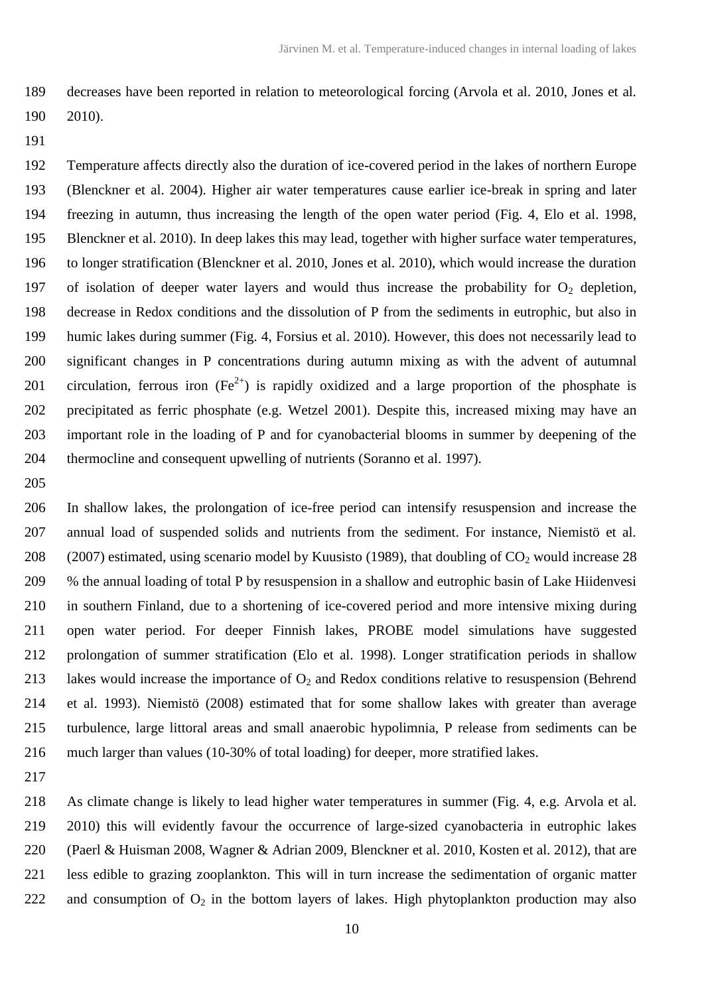decreases have been reported in relation to meteorological forcing (Arvola et al. 2010, Jones et al. 2010).

 Temperature affects directly also the duration of ice-covered period in the lakes of northern Europe (Blenckner et al. 2004). Higher air water temperatures cause earlier ice-break in spring and later freezing in autumn, thus increasing the length of the open water period (Fig. 4, Elo et al. 1998, Blenckner et al. 2010). In deep lakes this may lead, together with higher surface water temperatures, to longer stratification (Blenckner et al. 2010, Jones et al. 2010), which would increase the duration 197 of isolation of deeper water layers and would thus increase the probability for  $O_2$  depletion, decrease in Redox conditions and the dissolution of P from the sediments in eutrophic, but also in humic lakes during summer (Fig. 4, Forsius et al. 2010). However, this does not necessarily lead to significant changes in P concentrations during autumn mixing as with the advent of autumnal 201 circulation, ferrous iron  $(Fe^{2+})$  is rapidly oxidized and a large proportion of the phosphate is precipitated as ferric phosphate (e.g. Wetzel 2001). Despite this, increased mixing may have an important role in the loading of P and for cyanobacterial blooms in summer by deepening of the thermocline and consequent upwelling of nutrients (Soranno et al. 1997).

 In shallow lakes, the prolongation of ice-free period can intensify resuspension and increase the annual load of suspended solids and nutrients from the sediment. For instance, Niemistö et al. 208 (2007) estimated, using scenario model by Kuusisto (1989), that doubling of  $CO<sub>2</sub>$  would increase 28 % the annual loading of total P by resuspension in a shallow and eutrophic basin of Lake Hiidenvesi in southern Finland, due to a shortening of ice-covered period and more intensive mixing during open water period. For deeper Finnish lakes, PROBE model simulations have suggested prolongation of summer stratification (Elo et al. 1998). Longer stratification periods in shallow 213 lakes would increase the importance of  $O<sub>2</sub>$  and Redox conditions relative to resuspension (Behrend et al. 1993). Niemistö (2008) estimated that for some shallow lakes with greater than average turbulence, large littoral areas and small anaerobic hypolimnia, P release from sediments can be much larger than values (10-30% of total loading) for deeper, more stratified lakes.

 As climate change is likely to lead higher water temperatures in summer (Fig. 4, e.g. Arvola et al. 2010) this will evidently favour the occurrence of large-sized cyanobacteria in eutrophic lakes (Paerl & Huisman 2008, Wagner & Adrian 2009, Blenckner et al. 2010, Kosten et al. 2012), that are less edible to grazing zooplankton. This will in turn increase the sedimentation of organic matter 222 and consumption of  $O_2$  in the bottom layers of lakes. High phytoplankton production may also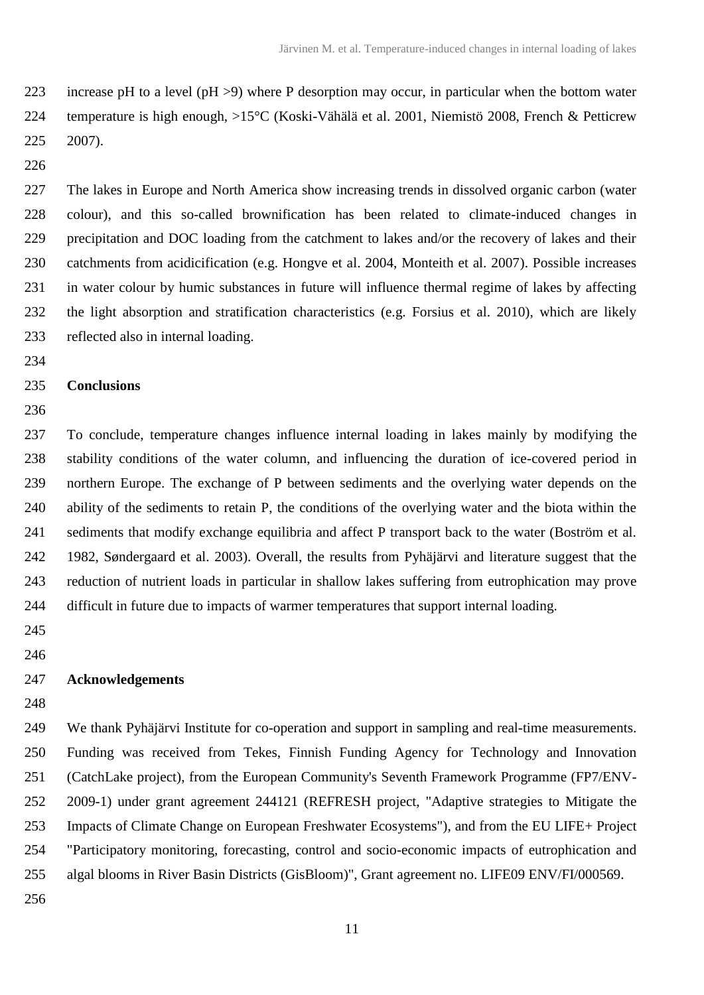223 increase pH to a level (pH  $>9$ ) where P desorption may occur, in particular when the bottom water temperature is high enough, >15°C (Koski-Vähälä et al. 2001, Niemistö 2008, French & Petticrew 2007).

 The lakes in Europe and North America show increasing trends in dissolved organic carbon (water colour), and this so-called brownification has been related to climate-induced changes in precipitation and DOC loading from the catchment to lakes and/or the recovery of lakes and their catchments from acidicification (e.g. Hongve et al. 2004, Monteith et al. 2007). Possible increases in water colour by humic substances in future will influence thermal regime of lakes by affecting the light absorption and stratification characteristics (e.g. Forsius et al. 2010), which are likely reflected also in internal loading.

## **Conclusions**

 To conclude, temperature changes influence internal loading in lakes mainly by modifying the stability conditions of the water column, and influencing the duration of ice-covered period in northern Europe. The exchange of P between sediments and the overlying water depends on the ability of the sediments to retain P, the conditions of the overlying water and the biota within the sediments that modify exchange equilibria and affect P transport back to the water (Boström et al. 1982, Søndergaard et al. 2003). Overall, the results from Pyhäjärvi and literature suggest that the reduction of nutrient loads in particular in shallow lakes suffering from eutrophication may prove difficult in future due to impacts of warmer temperatures that support internal loading.

 

### **Acknowledgements**

 We thank Pyhäjärvi Institute for co-operation and support in sampling and real-time measurements. Funding was received from Tekes, Finnish Funding Agency for Technology and Innovation (CatchLake project), from the European Community's Seventh Framework Programme (FP7/ENV- 2009-1) under grant agreement 244121 (REFRESH project, "Adaptive strategies to Mitigate the Impacts of Climate Change on European Freshwater Ecosystems"), and from the EU LIFE+ Project "Participatory monitoring, forecasting, control and socio-economic impacts of eutrophication and algal blooms in River Basin Districts (GisBloom)", Grant agreement no. LIFE09 ENV/FI/000569.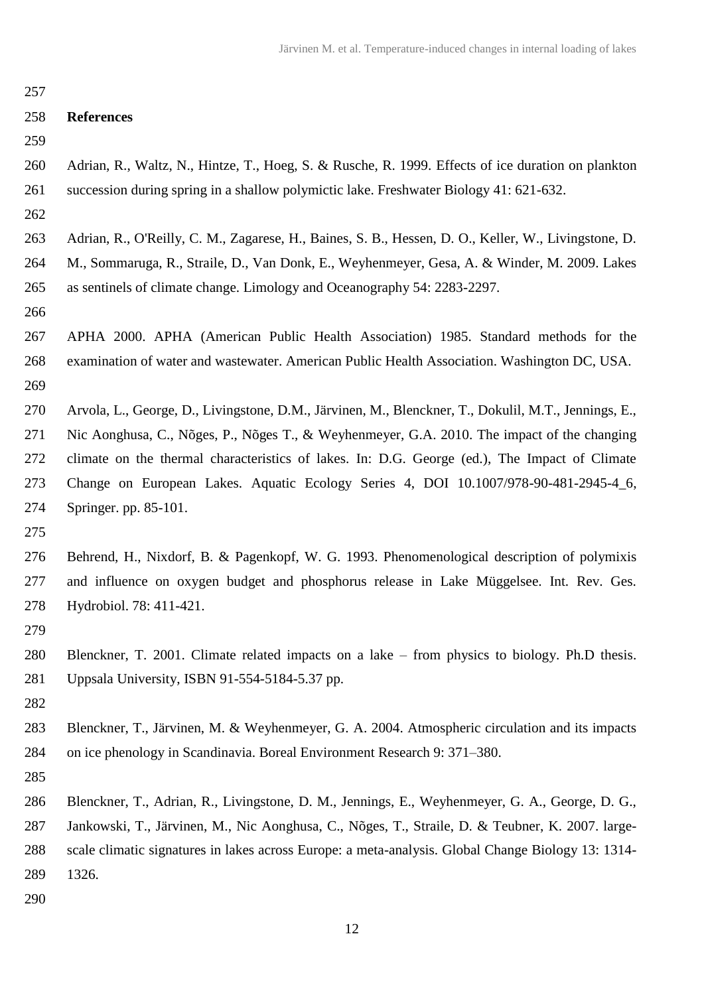| 257 |                                                                                                      |
|-----|------------------------------------------------------------------------------------------------------|
| 258 | <b>References</b>                                                                                    |
| 259 |                                                                                                      |
| 260 | Adrian, R., Waltz, N., Hintze, T., Hoeg, S. & Rusche, R. 1999. Effects of ice duration on plankton   |
| 261 | succession during spring in a shallow polymictic lake. Freshwater Biology 41: 621-632.               |
| 262 |                                                                                                      |
| 263 | Adrian, R., O'Reilly, C. M., Zagarese, H., Baines, S. B., Hessen, D. O., Keller, W., Livingstone, D. |
| 264 | M., Sommaruga, R., Straile, D., Van Donk, E., Weyhenmeyer, Gesa, A. & Winder, M. 2009. Lakes         |
| 265 | as sentinels of climate change. Limology and Oceanography 54: 2283-2297.                             |
| 266 |                                                                                                      |
| 267 | APHA 2000. APHA (American Public Health Association) 1985. Standard methods for the                  |
| 268 | examination of water and wastewater. American Public Health Association. Washington DC, USA.         |
| 269 |                                                                                                      |
| 270 | Arvola, L., George, D., Livingstone, D.M., Järvinen, M., Blenckner, T., Dokulil, M.T., Jennings, E., |
| 271 | Nic Aonghusa, C., Nõges, P., Nõges T., & Weyhenmeyer, G.A. 2010. The impact of the changing          |
| 272 | climate on the thermal characteristics of lakes. In: D.G. George (ed.), The Impact of Climate        |
| 273 | Change on European Lakes. Aquatic Ecology Series 4, DOI 10.1007/978-90-481-2945-4_6,                 |
| 274 | Springer. pp. 85-101.                                                                                |
| 275 |                                                                                                      |
| 276 | Behrend, H., Nixdorf, B. & Pagenkopf, W. G. 1993. Phenomenological description of polymixis          |
| 277 | and influence on oxygen budget and phosphorus release in Lake Müggelsee. Int. Rev. Ges.              |
| 278 | Hydrobiol. 78: 411-421.                                                                              |
| 279 |                                                                                                      |
| 280 | Blenckner, T. 2001. Climate related impacts on a lake – from physics to biology. Ph.D thesis.        |
| 281 | Uppsala University, ISBN 91-554-5184-5.37 pp.                                                        |
| 282 |                                                                                                      |
| 283 | Blenckner, T., Järvinen, M. & Weyhenmeyer, G. A. 2004. Atmospheric circulation and its impacts       |
| 284 | on ice phenology in Scandinavia. Boreal Environment Research 9: 371–380.                             |
| 285 |                                                                                                      |
| 286 | Blenckner, T., Adrian, R., Livingstone, D. M., Jennings, E., Weyhenmeyer, G. A., George, D. G.,      |
| 287 | Jankowski, T., Järvinen, M., Nic Aonghusa, C., Nõges, T., Straile, D. & Teubner, K. 2007. large-     |
| 288 | scale climatic signatures in lakes across Europe: a meta-analysis. Global Change Biology 13: 1314-   |
| 289 | 1326.                                                                                                |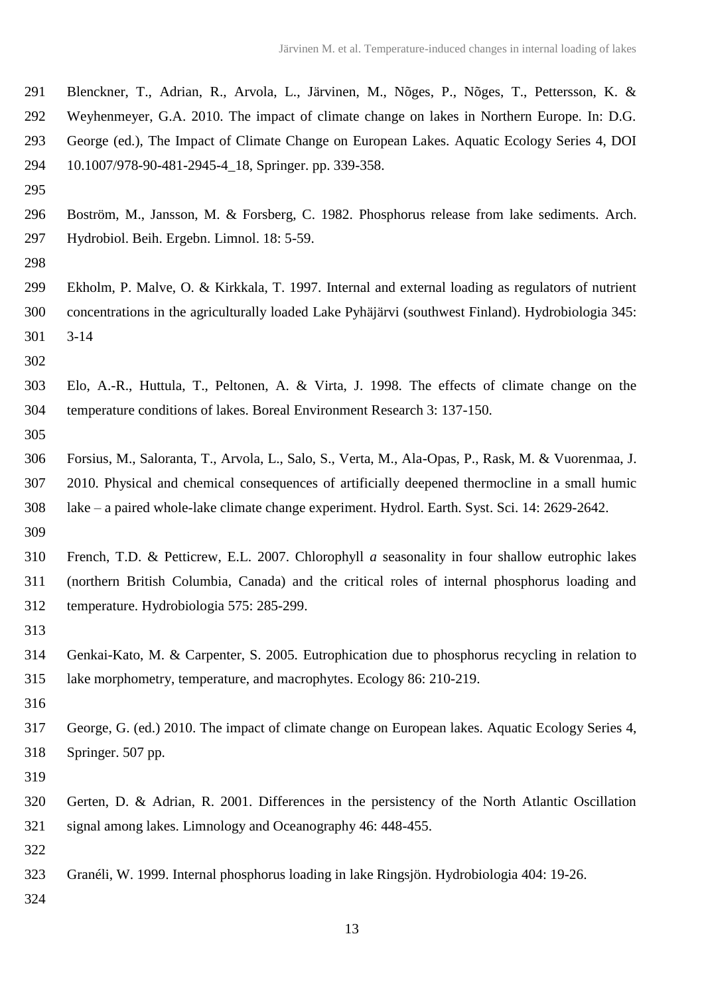- Blenckner, T., Adrian, R., Arvola, L., Järvinen, M., Nõges, P., Nõges, T., Pettersson, K. &
- Weyhenmeyer, G.A. 2010. The impact of climate change on lakes in Northern Europe. In: D.G.
- George (ed.), The Impact of Climate Change on European Lakes. Aquatic Ecology Series 4, DOI
- 10.1007/978-90-481-2945-4\_18, Springer. pp. 339-358.
- 
- Boström, M., Jansson, M. & Forsberg, C. 1982. Phosphorus release from lake sediments. Arch. Hydrobiol. Beih. Ergebn. Limnol. 18: 5-59.
- 
- Ekholm, P. Malve, O. & Kirkkala, T. 1997. [Internal and external loading as regulators of nutrient](http://scholar.google.fi/citations?view_op=view_citation&hl=fi&user=4T-peeUAAAAJ&citation_for_view=4T-peeUAAAAJ:qjMakFHDy7sC)  [concentrations in the agriculturally loaded Lake Pyhäjärvi \(southwest Finland\).](http://scholar.google.fi/citations?view_op=view_citation&hl=fi&user=4T-peeUAAAAJ&citation_for_view=4T-peeUAAAAJ:qjMakFHDy7sC) Hydrobiologia 345: 3-14
- 
- Elo, A.-R., Huttula, T., Peltonen, A. & Virta, J. 1998. The effects of climate change on the temperature conditions of lakes. Boreal Environment Research 3: 137-150.
- 
- Forsius, M., Saloranta, T., Arvola, L., Salo, S., Verta, M., Ala-Opas, P., Rask, M. & Vuorenmaa, J. 2010. Physical and chemical consequences of artificially deepened thermocline in a small humic lake – a paired whole-lake climate change experiment. Hydrol. Earth. Syst. Sci. 14: 2629-2642.
- French, T.D. & Petticrew, E.L. 2007. Chlorophyll *a* seasonality in four shallow eutrophic lakes (northern British Columbia, Canada) and the critical roles of internal phosphorus loading and temperature. Hydrobiologia 575: 285-299.
- 
- Genkai-Kato, M. & Carpenter, S. 2005. Eutrophication due to phosphorus recycling in relation to lake morphometry, temperature, and macrophytes. Ecology 86: 210-219.
- 
- George, G. (ed.) 2010. The impact of climate change on European lakes. Aquatic Ecology Series 4, Springer. 507 pp.
- 
- Gerten, D. & Adrian, R. 2001. Differences in the persistency of the North Atlantic Oscillation signal among lakes. Limnology and Oceanography 46: 448-455.
- 
- Granéli, W. 1999. Internal phosphorus loading in lake Ringsjön. Hydrobiologia 404: 19-26.
-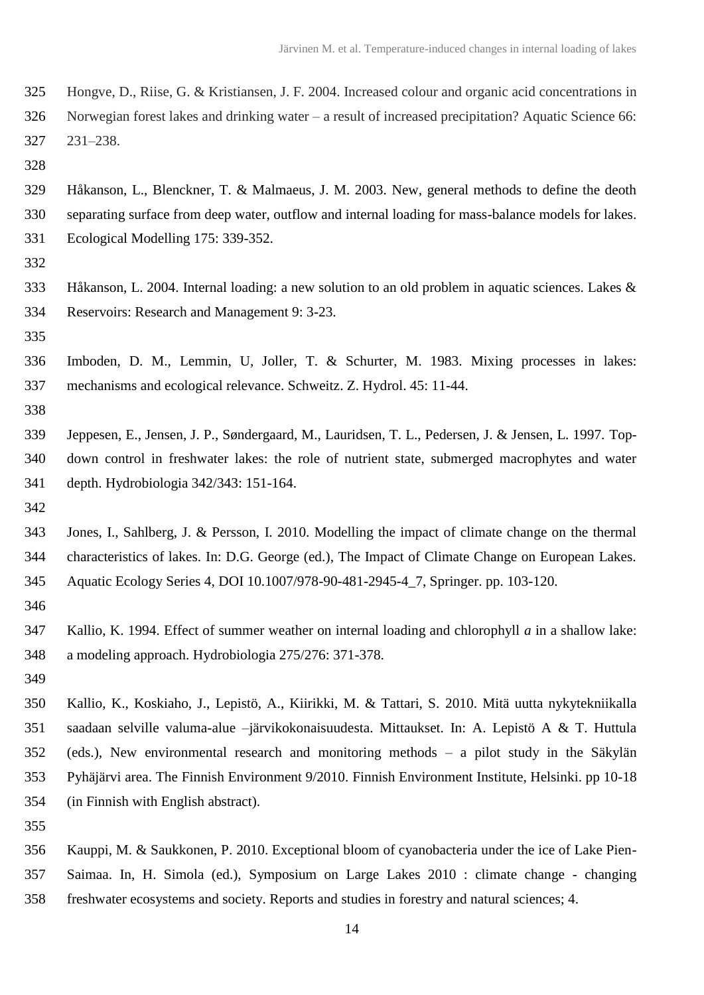- Hongve, D., Riise, G. & Kristiansen, J. F. 2004. Increased colour and organic acid concentrations in
- Norwegian forest lakes and drinking water a result of increased precipitation? Aquatic Science 66: 231–238.
- 

 Håkanson, L., Blenckner, T. & Malmaeus, J. M. 2003. New, general methods to define the deoth separating surface from deep water, outflow and internal loading for mass-balance models for lakes. Ecological Modelling 175: 339-352.

- 
- Håkanson, L. 2004. Internal loading: a new solution to an old problem in aquatic sciences. Lakes & Reservoirs: Research and Management 9: 3-23.
- 

 Imboden, D. M., Lemmin, U, Joller, T. & Schurter, M. 1983. Mixing processes in lakes: mechanisms and ecological relevance. Schweitz. Z. Hydrol. 45: 11-44.

- 
- Jeppesen, E., Jensen, J. P., Søndergaard, M., Lauridsen, T. L., Pedersen, J. & Jensen, L. 1997. Top- down control in freshwater lakes: the role of nutrient state, submerged macrophytes and water depth. Hydrobiologia 342/343: 151-164.
- 

 Jones, I., Sahlberg, J. & Persson, I. 2010. Modelling the impact of climate change on the thermal characteristics of lakes. In: D.G. George (ed.), The Impact of Climate Change on European Lakes. Aquatic Ecology Series 4, DOI 10.1007/978-90-481-2945-4\_7, Springer. pp. 103-120.

- Kallio, K. 1994. Effect of summer weather on internal loading and chlorophyll *a* in a shallow lake: a modeling approach. Hydrobiologia 275/276: 371-378.
- 

 Kallio, K., Koskiaho, J., Lepistö, A., Kiirikki, M. & Tattari, S. 2010. Mitä uutta nykytekniikalla saadaan selville valuma-alue –järvikokonaisuudesta. Mittaukset. In: A. Lepistö A & T. Huttula (eds.), New environmental research and monitoring methods – a pilot study in the Säkylän Pyhäjärvi area. The Finnish Environment 9/2010. Finnish Environment Institute, Helsinki. pp 10-18 (in Finnish with English abstract).

 Kauppi, M. & Saukkonen, P. 2010. Exceptional bloom of cyanobacteria under the ice of Lake Pien- Saimaa. In, H. Simola (ed.), Symposium on Large Lakes 2010 : climate change - changing freshwater ecosystems and society. Reports and studies in forestry and natural sciences; 4.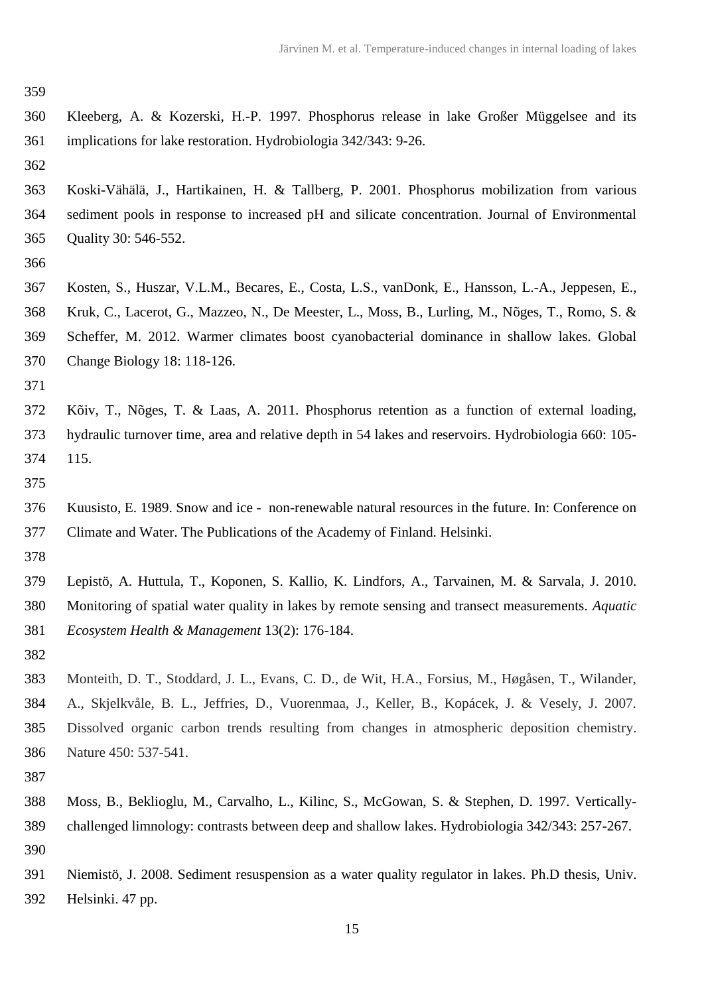|               | <b>SALE</b> |         |
|---------------|-------------|---------|
|               |             |         |
| ۰.<br>۰.<br>× | v           | ۰.<br>٠ |

- Kleeberg, A. & Kozerski, H.-P. 1997. Phosphorus release in lake Großer Müggelsee and its implications for lake restoration. Hydrobiologia 342/343: 9-26.
- Koski-Vähälä, J., Hartikainen, H. & Tallberg, P. 2001. Phosphorus mobilization from various sediment pools in response to increased pH and silicate concentration. Journal of Environmental Quality 30: 546-552.
- 
- Kosten, S., Huszar, V.L.M., Becares, E., Costa, L.S., vanDonk, E., Hansson, L.-A., Jeppesen, E., Kruk, C., Lacerot, G., Mazzeo, N., De Meester, L., Moss, B., Lurling, M., Nõges, T., Romo, S. & Scheffer, M. 2012. Warmer climates boost cyanobacterial dominance in shallow lakes. Global Change Biology 18: 118-126.
- 
- Kõiv, T., Nõges, T. & Laas, A. 2011. Phosphorus retention as a function of external loading, hydraulic turnover time, area and relative depth in 54 lakes and reservoirs. Hydrobiologia 660: 105- 115.
- 
- Kuusisto, E. 1989. Snow and ice non-renewable natural resources in the future. In: Conference on Climate and Water. The Publications of the Academy of Finland. Helsinki.
- 
- Lepistö, A. Huttula, T., Koponen, S. Kallio, K. Lindfors, A., Tarvainen, M. & Sarvala, J. 2010. Monitoring of spatial water quality in lakes by remote sensing and transect measurements. *Aquatic Ecosystem Health & Management* 13(2): 176-184.
- 
- Monteith, D. T., Stoddard, J. L., Evans, C. D., de Wit, H.A., Forsius, M., Høgåsen, T., Wilander, A., Skjelkvåle, B. L., Jeffries, D., Vuorenmaa, J., Keller, B., Kopácek, J. & Vesely, J. 2007. Dissolved organic carbon trends resulting from changes in atmospheric deposition chemistry. Nature 450: 537-541.
- 
- Moss, B., Beklioglu, M., Carvalho, L., Kilinc, S., McGowan, S. & Stephen, D. 1997. Vertically- challenged limnology: contrasts between deep and shallow lakes. Hydrobiologia 342/343: 257-267.
- Niemistö, J. 2008. Sediment resuspension as a water quality regulator in lakes. Ph.D thesis, Univ. Helsinki. 47 pp.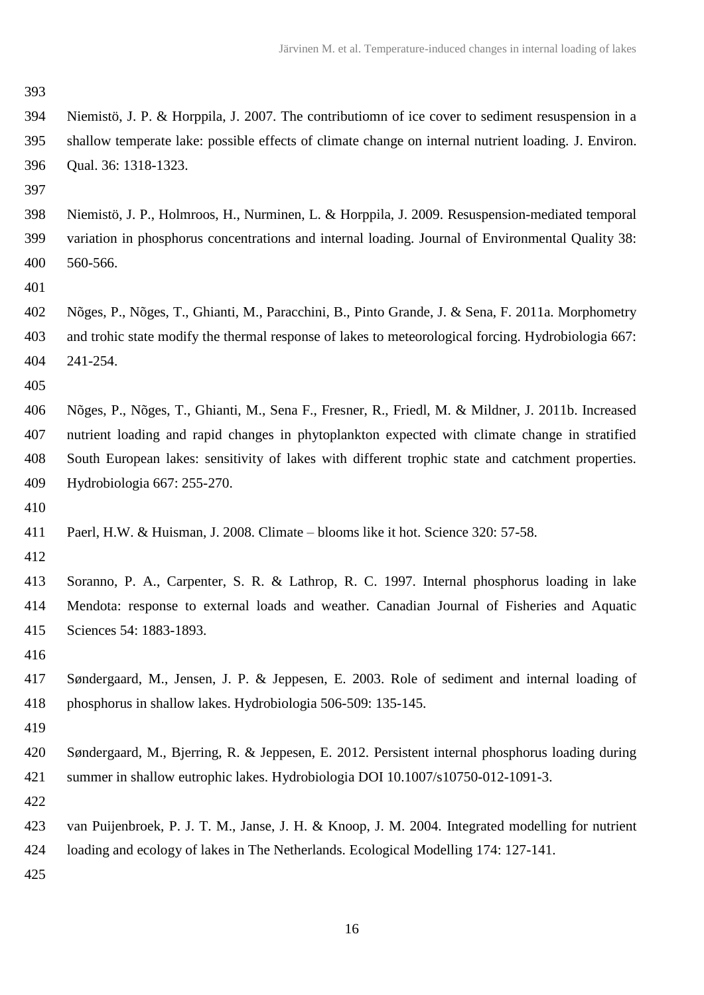- Niemistö, J. P. & Horppila, J. 2007. The contributiomn of ice cover to sediment resuspension in a shallow temperate lake: possible effects of climate change on internal nutrient loading. J. Environ. Qual. 36: 1318-1323.
- 
- Niemistö, J. P., Holmroos, H., Nurminen, L. & Horppila, J. 2009. Resuspension-mediated temporal variation in phosphorus concentrations and internal loading. Journal of Environmental Quality 38: 560-566.
- 
- Nõges, P., Nõges, T., Ghianti, M., Paracchini, B., Pinto Grande, J. & Sena, F. 2011a. Morphometry and trohic state modify the thermal response of lakes to meteorological forcing. Hydrobiologia 667: 241-254.
- 
- Nõges, P., Nõges, T., Ghianti, M., Sena F., Fresner, R., Friedl, M. & Mildner, J. 2011b. Increased nutrient loading and rapid changes in phytoplankton expected with climate change in stratified South European lakes: sensitivity of lakes with different trophic state and catchment properties. Hydrobiologia 667: 255-270.
- 
- Paerl, H.W. & Huisman, J. 2008. Climate blooms like it hot. Science 320: 57-58.
- 
- Soranno, P. A., Carpenter, S. R. & Lathrop, R. C. 1997. Internal phosphorus loading in lake Mendota: response to external loads and weather. Canadian Journal of Fisheries and Aquatic Sciences 54: 1883-1893.
- 
- Søndergaard, M., Jensen, J. P. & Jeppesen, E. 2003. Role of sediment and internal loading of phosphorus in shallow lakes. Hydrobiologia 506-509: 135-145.
- 
- Søndergaard, M., Bjerring, R. & Jeppesen, E. 2012. Persistent internal phosphorus loading during summer in shallow eutrophic lakes. Hydrobiologia DOI 10.1007/s10750-012-1091-3.
- 
- van Puijenbroek, P. J. T. M., Janse, J. H. & Knoop, J. M. 2004. Integrated modelling for nutrient
- loading and ecology of lakes in The Netherlands. Ecological Modelling 174: 127-141.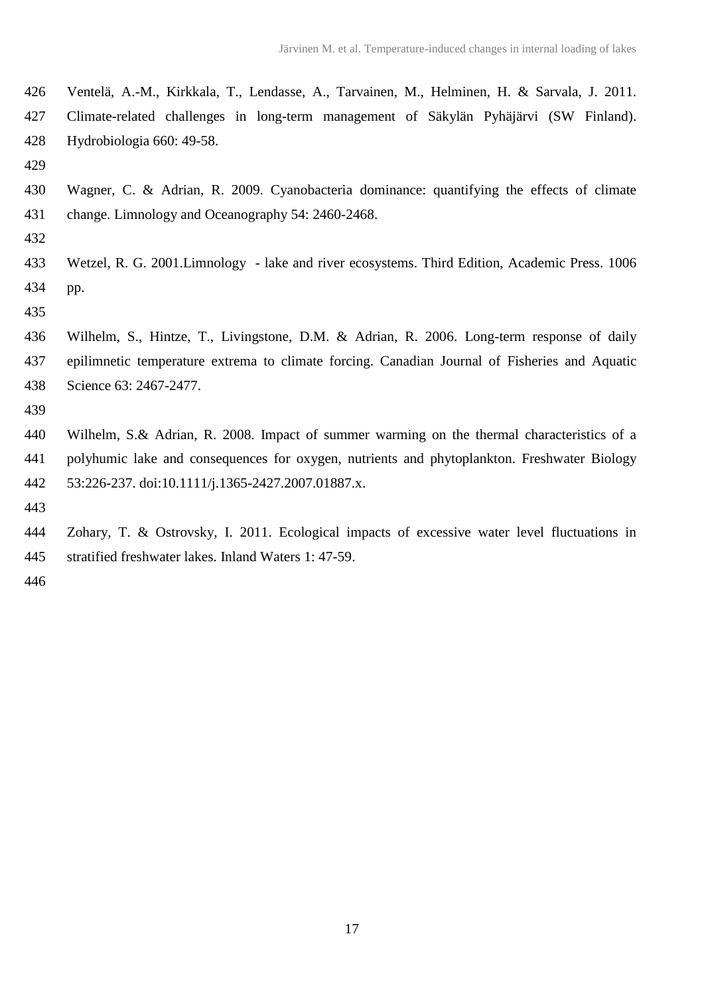Ventelä, A.-M., Kirkkala, T., Lendasse, A., Tarvainen, M., Helminen, H. & Sarvala, J. 2011. Climate-related challenges in long-term management of Säkylän Pyhäjärvi (SW Finland). Hydrobiologia 660: 49-58.

 Wagner, C. & Adrian, R. 2009. Cyanobacteria dominance: quantifying the effects of climate change. Limnology and Oceanography 54: 2460-2468.

 Wetzel, R. G. 2001.Limnology - lake and river ecosystems. Third Edition, Academic Press. 1006 pp.

 Wilhelm, S., Hintze, T., Livingstone, D.M. & Adrian, R. 2006. Long-term response of daily epilimnetic temperature extrema to climate forcing. Canadian Journal of Fisheries and Aquatic Science 63: 2467-2477.

 Wilhelm, S.& Adrian, R. 2008. Impact of summer warming on the thermal characteristics of a polyhumic lake and consequences for oxygen, nutrients and phytoplankton. Freshwater Biology 53:226-237. doi:10.1111/j.1365-2427.2007.01887.x.

 Zohary, T. & Ostrovsky, I. 2011. Ecological impacts of excessive water level fluctuations in stratified freshwater lakes. Inland Waters 1: 47-59.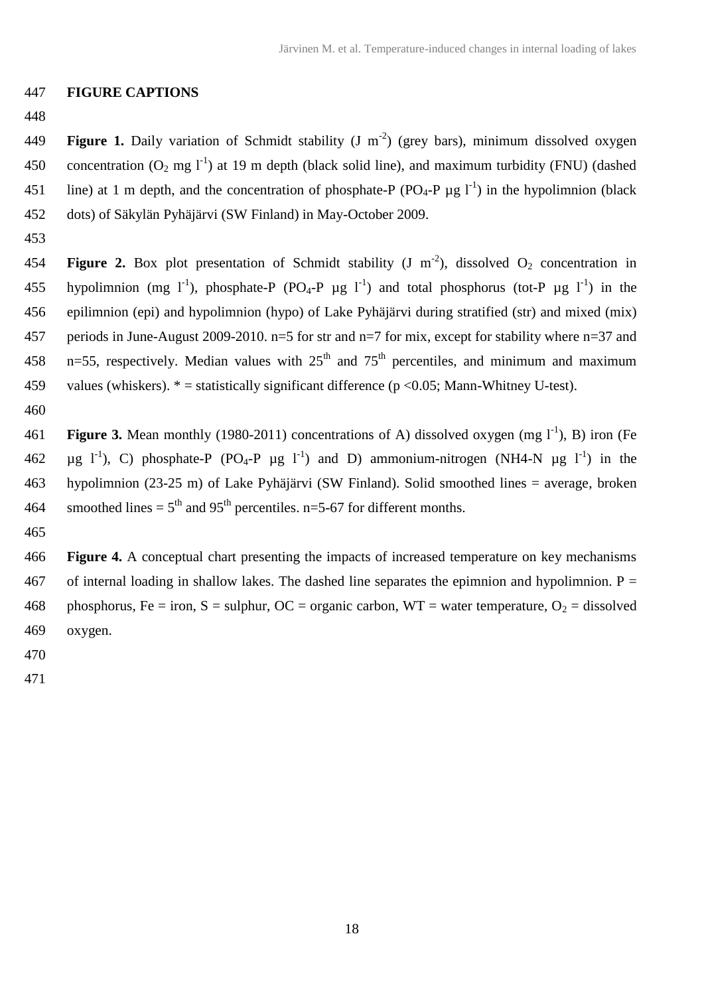### 447 **FIGURE CAPTIONS**

448

449 **Figure 1.** Daily variation of Schmidt stability  $(J \text{ m}^{-2})$  (grey bars), minimum dissolved oxygen 450 concentration  $(O_2 \text{ mg } l^{\text{-}1})$  at 19 m depth (black solid line), and maximum turbidity (FNU) (dashed 451 line) at 1 m depth, and the concentration of phosphate-P (PO<sub>4</sub>-P  $\mu$ g l<sup>-1</sup>) in the hypolimnion (black 452 dots) of Säkylän Pyhäjärvi (SW Finland) in May-October 2009.

453

454 **Figure 2.** Box plot presentation of Schmidt stability  $(J \ m^{-2})$ , dissolved  $O_2$  concentration in 455 hypolimnion (mg l<sup>-1</sup>), phosphate-P (PO<sub>4</sub>-P  $\mu$ g l<sup>-1</sup>) and total phosphorus (tot-P  $\mu$ g l<sup>-1</sup>) in the 456 epilimnion (epi) and hypolimnion (hypo) of Lake Pyhäjärvi during stratified (str) and mixed (mix) 457 periods in June-August 2009-2010. n=5 for str and n=7 for mix, except for stability where n=37 and 458 n=55, respectively. Median values with  $25<sup>th</sup>$  and  $75<sup>th</sup>$  percentiles, and minimum and maximum 459 values (whiskers).  $* =$  statistically significant difference ( $p \le 0.05$ ; Mann-Whitney U-test).

460

**Figure 3.** Mean monthly (1980-2011) concentrations of A) dissolved oxygen (mg  $1^{-1}$ ), B) iron (Fe  $\mu$ g l<sup>-1</sup>), C) phosphate-P (PO<sub>4</sub>-P  $\mu$ g l<sup>-1</sup>) and D) ammonium-nitrogen (NH4-N  $\mu$ g l<sup>-1</sup>) in the hypolimnion (23-25 m) of Lake Pyhäjärvi (SW Finland). Solid smoothed lines = average, broken 464 smoothed lines =  $5<sup>th</sup>$  and  $95<sup>th</sup>$  percentiles. n=5-67 for different months.

465

466 **Figure 4.** A conceptual chart presenting the impacts of increased temperature on key mechanisms 467 of internal loading in shallow lakes. The dashed line separates the epimnion and hypolimnion.  $P =$ 468 phosphorus, Fe = iron, S = sulphur, OC = organic carbon, WT = water temperature,  $O_2$  = dissolved 469 oxygen.

- 470
- 471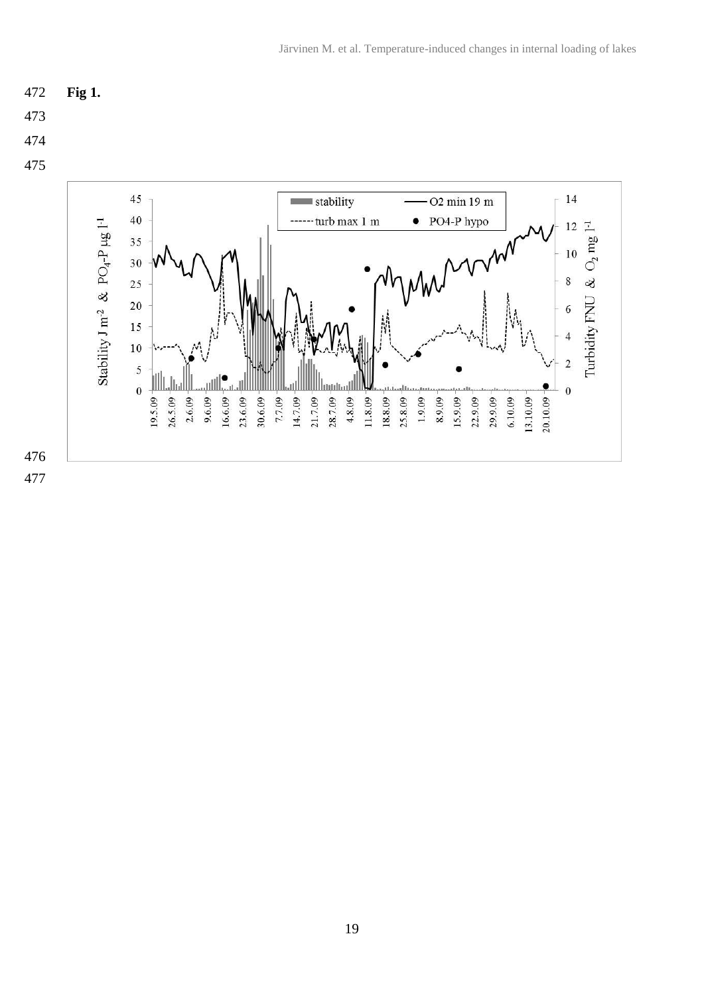$\alpha$  $\,8\,$ 

Turbidity FNU

6

 $\overline{\mathbf{4}}$ 

 $\overline{c}$ 

 $\overline{0}$ 

 $20.10.09$ 



 $21.7.09$ 

14.7.09

 $30.6.09 -$ 

 $7.7.09 -$ 

أطلب

 $18.8.09$ 

25.8.09  $1.9.09 -$ 8.9.09 15.9.09  $22.9.09$ 29.9.09  $6.10.09$ 13.10.09

11.8.09



 $35$ 30

25

 $20$ 

 $15$ 

 $10$ 

5

 $\overline{0}$ 

اللسلسلللا

 $26.5.09$  $2.6.09 9.6.09 -$ 

 $19.5.09 -$ 

أأال

16.6.09

 $23.6.09 -$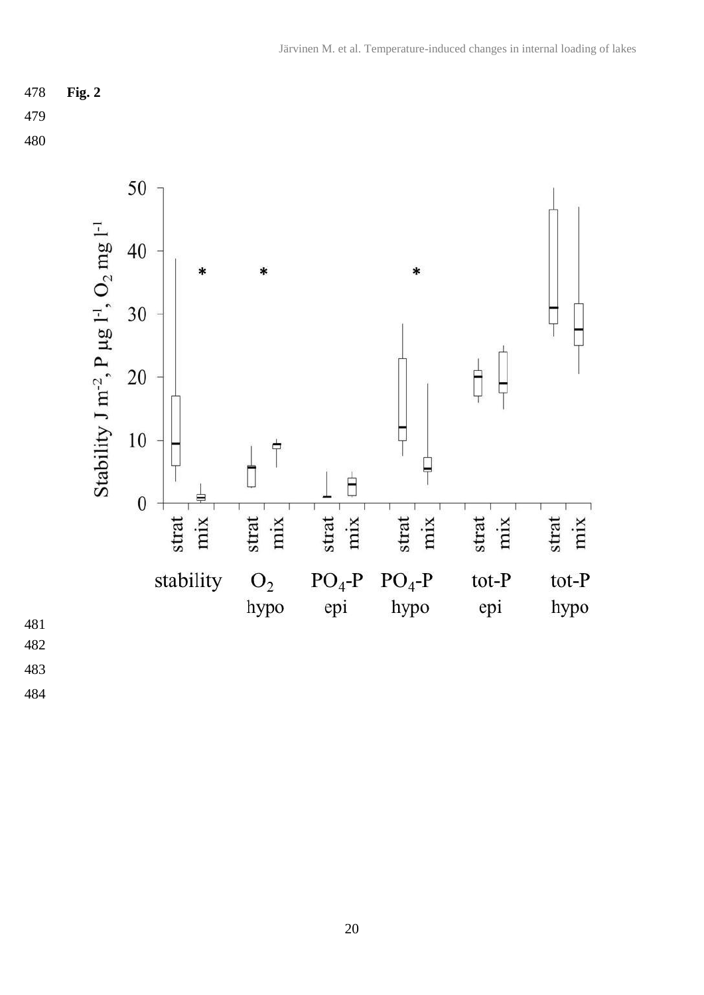



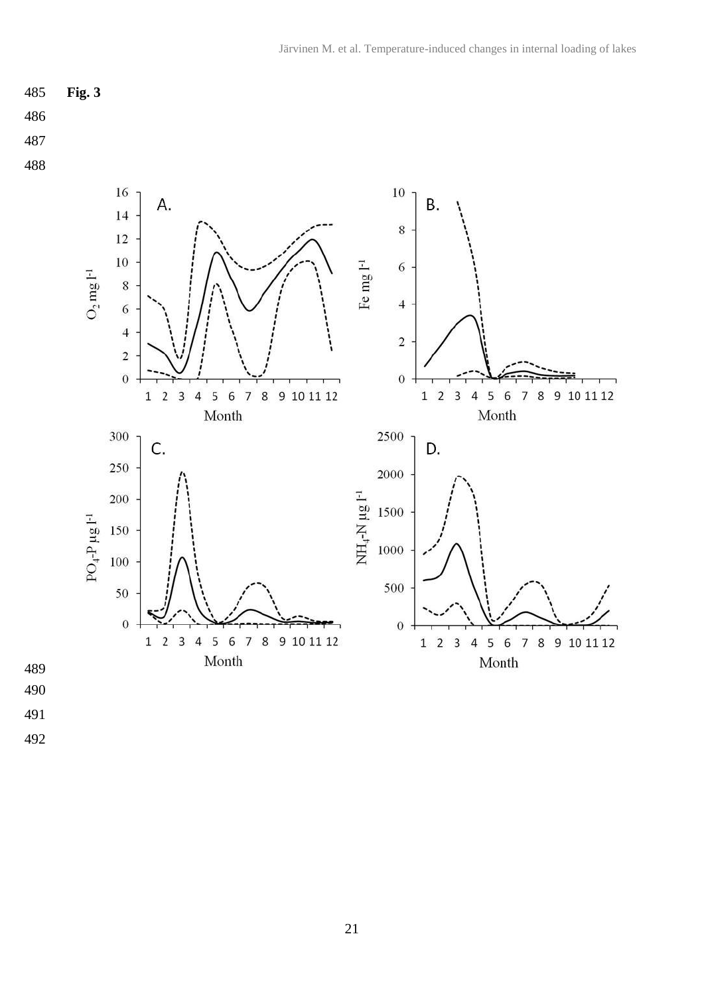